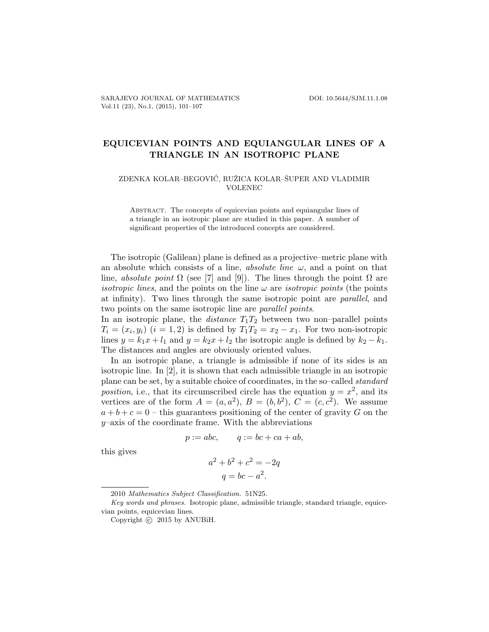## EQUICEVIAN POINTS AND EQUIANGULAR LINES OF A TRIANGLE IN AN ISOTROPIC PLANE

## ZDENKA KOLAR–BEGOVIĆ, RUŽICA KOLAR–ŠUPER AND VLADIMIR VOLENEC

Abstract. The concepts of equicevian points and equiangular lines of a triangle in an isotropic plane are studied in this paper. A number of significant properties of the introduced concepts are considered.

The isotropic (Galilean) plane is defined as a projective–metric plane with an absolute which consists of a line, *absolute line*  $\omega$ , and a point on that line, absolute point  $\Omega$  (see [7] and [9]). The lines through the point  $\Omega$  are *isotropic lines*, and the points on the line  $\omega$  are *isotropic points* (the points at infinity). Two lines through the same isotropic point are parallel, and two points on the same isotropic line are parallel points.

In an isotropic plane, the *distance*  $T_1T_2$  between two non-parallel points  $T_i = (x_i, y_i)$   $(i = 1, 2)$  is defined by  $T_1T_2 = x_2 - x_1$ . For two non-isotropic lines  $y = k_1x + l_1$  and  $y = k_2x + l_2$  the isotropic angle is defined by  $k_2 - k_1$ . The distances and angles are obviously oriented values.

In an isotropic plane, a triangle is admissible if none of its sides is an isotropic line. In [2], it is shown that each admissible triangle in an isotropic plane can be set, by a suitable choice of coordinates, in the so–called standard position, i.e., that its circumscribed circle has the equation  $y = x^2$ , and its vertices are of the form  $A = (a, a^2), B = (b, b^2), C = (c, c^2)$ . We assume  $a + b + c = 0$  – this guarantees positioning of the center of gravity G on the  $y$ –axis of the coordinate frame. With the abbreviations

$$
p := abc, \qquad q := bc + ca + ab,
$$

this gives

$$
a2 + b2 + c2 = -2q
$$

$$
q = bc - a2.
$$

<sup>2010</sup> Mathematics Subject Classification. 51N25.

Key words and phrases. Isotropic plane, admissible triangle, standard triangle, equicevian points, equicevian lines.

Copyright  $\odot$  2015 by ANUBiH.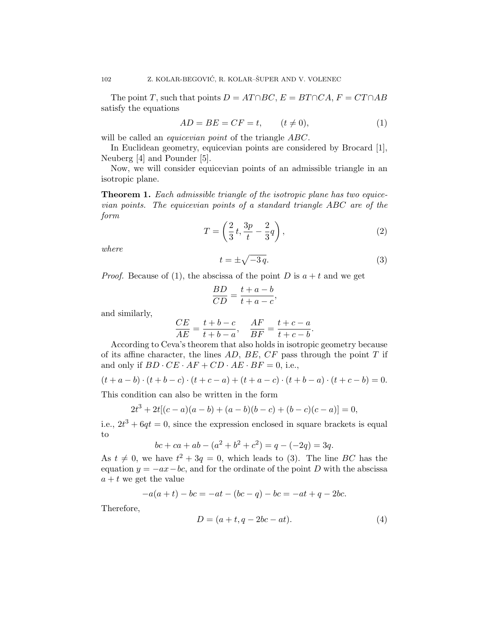The point T, such that points  $D = AT \cap BC$ ,  $E = BT \cap CA$ ,  $F = CT \cap AB$ satisfy the equations

$$
AD = BE = CF = t, \qquad (t \neq 0), \tag{1}
$$

will be called an *equicevian point* of the triangle ABC.

In Euclidean geometry, equicevian points are considered by Brocard [1], Neuberg [4] and Pounder [5].

Now, we will consider equicevian points of an admissible triangle in an isotropic plane.

Theorem 1. Each admissible triangle of the isotropic plane has two equicevian points. The equicevian points of a standard triangle ABC are of the form

$$
T = \left(\frac{2}{3}t, \frac{3p}{t} - \frac{2}{3}q\right),\tag{2}
$$

where

$$
t = \pm \sqrt{-3q}.\tag{3}
$$

*Proof.* Because of (1), the abscissa of the point D is  $a + t$  and we get

$$
\frac{BD}{CD} = \frac{t+a-b}{t+a-c},
$$

and similarly,

$$
\frac{CE}{AE} = \frac{t+b-c}{t+b-a}, \quad \frac{AF}{BF} = \frac{t+c-a}{t+c-b}.
$$

According to Ceva's theorem that also holds in isotropic geometry because of its affine character, the lines  $AD, BE, CF$  pass through the point T if and only if  $BD \cdot CE \cdot AF + CD \cdot AE \cdot BF = 0$ , i.e.,

$$
(t + a - b) \cdot (t + b - c) \cdot (t + c - a) + (t + a - c) \cdot (t + b - a) \cdot (t + c - b) = 0.
$$

This condition can also be written in the form

$$
2t3 + 2t[(c-a)(a-b) + (a-b)(b-c) + (b-c)(c-a)] = 0,
$$

i.e.,  $2t^3 + 6qt = 0$ , since the expression enclosed in square brackets is equal to

$$
bc + ca + ab - (a2 + b2 + c2) = q - (-2q) = 3q.
$$

As  $t \neq 0$ , we have  $t^2 + 3q = 0$ , which leads to (3). The line BC has the equation  $y = -ax - bc$ , and for the ordinate of the point D with the abscissa  $a + t$  we get the value

$$
-a(a + t) - bc = -at - (bc - q) - bc = -at + q - 2bc.
$$

Therefore,

$$
D = (a + t, q - 2bc - at). \tag{4}
$$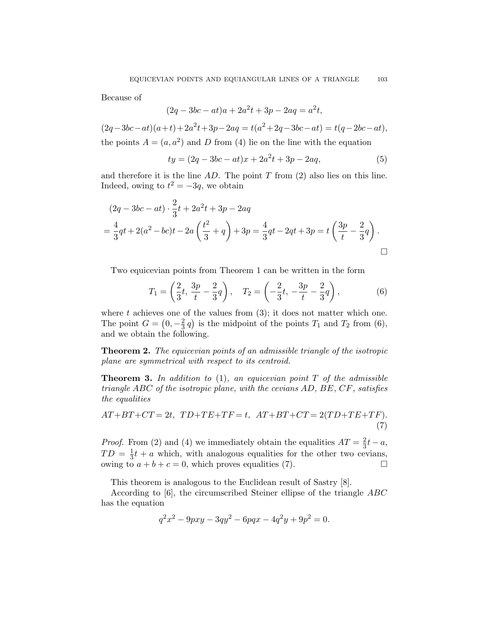Because of

$$
(2q - 3bc - at)a + 2a^2t + 3p - 2aq = a^2t,
$$

 $(2q - 3bc - at)(a + t) + 2a^2t + 3p - 2aq = t(a^2 + 2q - 3bc - at) = t(q - 2bc - at),$ the points  $A = (a, a^2)$  and D from (4) lie on the line with the equation

$$
ty = (2q - 3bc - at)x + 2a^2t + 3p - 2aq,
$$
\n(5)

and therefore it is the line  $AD$ . The point T from (2) also lies on this line. Indeed, owing to  $t^2 = -3q$ , we obtain

$$
(2q - 3bc - at) \cdot \frac{2}{3}t + 2a^2t + 3p - 2aq
$$
  
=  $\frac{4}{3}qt + 2(a^2 - bc)t - 2a\left(\frac{t^2}{3} + q\right) + 3p = \frac{4}{3}qt - 2qt + 3p = t\left(\frac{3p}{t} - \frac{2}{3}q\right)$ .

Two equicevian points from Theorem 1 can be written in the form

$$
T_1 = \left(\frac{2}{3}t, \frac{3p}{t} - \frac{2}{3}q\right), \quad T_2 = \left(-\frac{2}{3}t, -\frac{3p}{t} - \frac{2}{3}q\right),\tag{6}
$$

where t achieves one of the values from  $(3)$ ; it does not matter which one. The point  $G = \left(0, -\frac{2}{3}\right)$  $\frac{2}{3}q$ ) is the midpoint of the points  $T_1$  and  $T_2$  from (6), and we obtain the following.

Theorem 2. The equicevian points of an admissible triangle of the isotropic plane are symmetrical with respect to its centroid.

**Theorem 3.** In addition to  $(1)$ , an equicevian point  $T$  of the admissible triangle ABC of the isotropic plane, with the cevians AD, BE, CF, satisfies the equalities

$$
AT + BT + CT = 2t, TD + TE + TF = t, AT + BT + CT = 2(TD + TE + TF).
$$
\n
$$
(7)
$$

*Proof.* From (2) and (4) we immediately obtain the equalities  $AT = \frac{2}{3}$  $rac{2}{3}t - a$ ,  $TD = \frac{1}{3}$  $\frac{1}{3}t + a$  which, with analogous equalities for the other two cevians, owing to  $a + b + c = 0$ , which proves equalities (7).

This theorem is analogous to the Euclidean result of Sastry [8].

According to [6], the circumscribed Steiner ellipse of the triangle ABC has the equation

$$
q^2x^2 - 9pxy - 3qy^2 - 6pqx - 4q^2y + 9p^2 = 0.
$$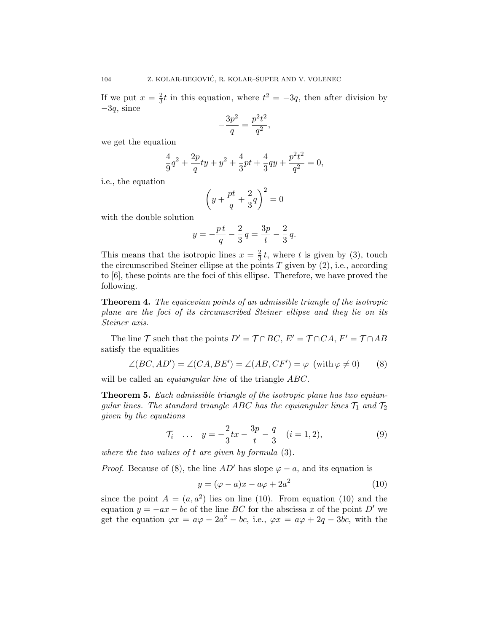If we put  $x=\frac{2}{3}$  $\frac{2}{3}t$  in this equation, where  $t^2 = -3q$ , then after division by  $-3q$ , since

$$
-\frac{3p^2}{q} = \frac{p^2t^2}{q^2},
$$

we get the equation

$$
\frac{4}{9}q^2 + \frac{2p}{q}ty + y^2 + \frac{4}{3}pt + \frac{4}{3}qy + \frac{p^2t^2}{q^2} = 0,
$$

i.e., the equation

$$
\left(y + \frac{pt}{q} + \frac{2}{3}q\right)^2 = 0
$$

with the double solution

$$
y = -\frac{pt}{q} - \frac{2}{3}q = \frac{3p}{t} - \frac{2}{3}q.
$$

This means that the isotropic lines  $x=\frac{2}{3}$  $\frac{2}{3}t$ , where t is given by (3), touch the circumscribed Steiner ellipse at the points  $T$  given by  $(2)$ , i.e., according to [6], these points are the foci of this ellipse. Therefore, we have proved the following.

Theorem 4. The equicevian points of an admissible triangle of the isotropic plane are the foci of its circumscribed Steiner ellipse and they lie on its Steiner axis.

The line T such that the points  $D' = \mathcal{T} \cap BC$ ,  $E' = \mathcal{T} \cap CA$ ,  $F' = \mathcal{T} \cap AB$ satisfy the equalities

$$
\angle(BC, AD') = \angle(CA, BE') = \angle(AB, CF') = \varphi \, (\text{with } \varphi \neq 0) \qquad (8)
$$

will be called an *equiangular line* of the triangle ABC.

Theorem 5. Each admissible triangle of the isotropic plane has two equiangular lines. The standard triangle ABC has the equiangular lines  $\mathcal{T}_1$  and  $\mathcal{T}_2$ given by the equations

$$
\mathcal{T}_i \quad \dots \quad y = -\frac{2}{3}tx - \frac{3p}{t} - \frac{q}{3} \quad (i = 1, 2), \tag{9}
$$

where the two values of  $t$  are given by formula  $(3)$ .

*Proof.* Because of (8), the line  $AD'$  has slope  $\varphi - a$ , and its equation is

$$
y = (\varphi - a)x - a\varphi + 2a^2 \tag{10}
$$

since the point  $A = (a, a^2)$  lies on line (10). From equation (10) and the equation  $y = -ax - bc$  of the line BC for the abscissa x of the point D' we get the equation  $\varphi x = a\varphi - 2a^2 - bc$ , i.e.,  $\varphi x = a\varphi + 2q - 3bc$ , with the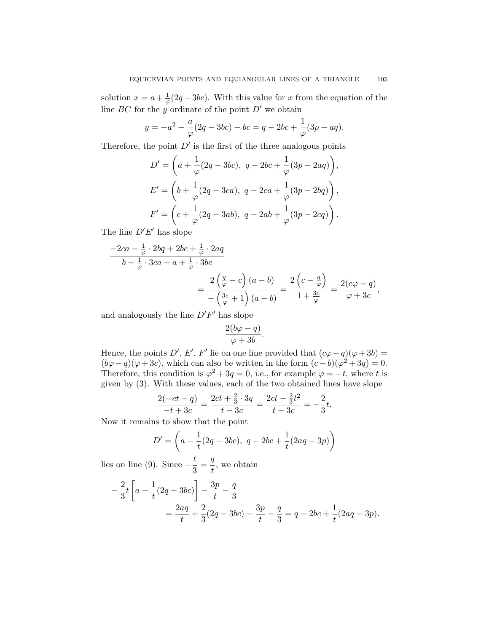solution  $x = a + \frac{1}{a}$  $\frac{1}{\varphi}(2q-3bc)$ . With this value for x from the equation of the line BC for the y ordinate of the point  $D'$  we obtain

$$
y = -a^{2} - \frac{a}{\varphi}(2q - 3bc) - bc = q - 2bc + \frac{1}{\varphi}(3p - aq).
$$

Therefore, the point  $D'$  is the first of the three analogous points

$$
D' = \left(a + \frac{1}{\varphi}(2q - 3bc), \ q - 2bc + \frac{1}{\varphi}(3p - 2aq)\right),
$$
  
\n
$$
E' = \left(b + \frac{1}{\varphi}(2q - 3ca), \ q - 2ca + \frac{1}{\varphi}(3p - 2bq)\right),
$$
  
\n
$$
F' = \left(c + \frac{1}{\varphi}(2q - 3ab), \ q - 2ab + \frac{1}{\varphi}(3p - 2cq)\right).
$$

The line  $D'E'$  has slope

$$
\frac{-2ca - \frac{1}{\varphi} \cdot 2bq + 2bc + \frac{1}{\varphi} \cdot 2aq}{b - \frac{1}{\varphi} \cdot 3ca - a + \frac{1}{\varphi} \cdot 3bc} = \frac{2\left(\frac{q}{\varphi} - c\right)(a - b)}{-\left(\frac{3c}{\varphi} + 1\right)(a - b)} = \frac{2\left(c - \frac{q}{\varphi}\right)}{1 + \frac{3c}{\varphi}} = \frac{2(c\varphi - q)}{\varphi + 3c},
$$

and analogously the line  $D'F'$  has slope

$$
\frac{2(b\varphi - q)}{\varphi + 3b}.
$$

Hence, the points  $D', E', F'$  lie on one line provided that  $(c\varphi - q)(\varphi + 3b) =$  $(b\varphi - q)(\varphi + 3c)$ , which can also be written in the form  $(c - b)(\varphi^2 + 3q) = 0$ . Therefore, this condition is  $\varphi^2 + 3q = 0$ , i.e., for example  $\varphi = -t$ , where t is given by (3). With these values, each of the two obtained lines have slope

$$
\frac{2(-ct-q)}{-t+3c} = \frac{2ct+\frac{2}{3}\cdot 3q}{t-3c} = \frac{2ct-\frac{2}{3}t^2}{t-3c} = -\frac{2}{3}t.
$$

Now it remains to show that the point

$$
D' = \left(a - \frac{1}{t}(2q - 3bc), \ q - 2bc + \frac{1}{t}(2aq - 3p)\right)
$$

lies on line (9). Since  $-\frac{t}{2}$  $\frac{t}{3} = \frac{q}{t}$  $\frac{q}{t}$ , we obtain

$$
-\frac{2}{3}t\left[a-\frac{1}{t}(2q-3bc)\right]-\frac{3p}{t}-\frac{q}{3}
$$
  
=\frac{2aq}{t}+\frac{2}{3}(2q-3bc)-\frac{3p}{t}-\frac{q}{3}=q-2bc+\frac{1}{t}(2aq-3p).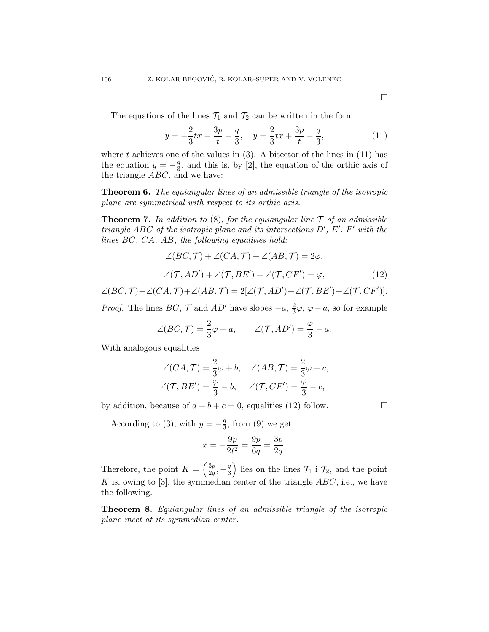The equations of the lines  $\mathcal{T}_1$  and  $\mathcal{T}_2$  can be written in the form

$$
y = -\frac{2}{3}tx - \frac{3p}{t} - \frac{q}{3}, \quad y = \frac{2}{3}tx + \frac{3p}{t} - \frac{q}{3},\tag{11}
$$

where t achieves one of the values in  $(3)$ . A bisector of the lines in  $(11)$  has the equation  $y = -\frac{q}{3}$  $\frac{q}{3}$ , and this is, by [2], the equation of the orthic axis of the triangle ABC, and we have:

Theorem 6. The equiangular lines of an admissible triangle of the isotropic plane are symmetrical with respect to its orthic axis.

**Theorem 7.** In addition to (8), for the equiangular line  $\mathcal T$  of an admissible triangle ABC of the isotropic plane and its intersections  $D', E', F'$  with the lines BC, CA, AB, the following equalities hold:

$$
\angle (BC, \mathcal{T}) + \angle (CA, \mathcal{T}) + \angle (AB, \mathcal{T}) = 2\varphi,
$$
  

$$
\angle (\mathcal{T}, AD') + \angle (\mathcal{T}, BE') + \angle (\mathcal{T}, CF') = \varphi,
$$
 (12)

 $\angle (BC, \mathcal{T}) + \angle (CA, \mathcal{T}) + \angle (AB, \mathcal{T}) = 2[\angle (\mathcal{T}, AD') + \angle (\mathcal{T}, BE') + \angle (\mathcal{T}, CF')].$ 

*Proof.* The lines  $BC, \mathcal{T}$  and  $AD'$  have slopes  $-a, \frac{2}{3}$  $\frac{2}{3}\varphi$ ,  $\varphi - a$ , so for example

$$
\angle(BC, \mathcal{T}) = \frac{2}{3}\varphi + a, \qquad \angle(\mathcal{T}, AD') = \frac{\varphi}{3} - a.
$$

With analogous equalities

$$
\angle(CA, \mathcal{T}) = \frac{2}{3}\varphi + b, \quad \angle(AB, \mathcal{T}) = \frac{2}{3}\varphi + c,
$$
  

$$
\angle(\mathcal{T}, BE') = \frac{\varphi}{3} - b, \quad \angle(\mathcal{T}, CF') = \frac{\varphi}{3} - c,
$$

by addition, because of  $a + b + c = 0$ , equalities (12) follow.

According to (3), with  $y = -\frac{q}{3}$  $\frac{q}{3}$ , from (9) we get

$$
x = -\frac{9p}{2t^2} = \frac{9p}{6q} = \frac{3p}{2q}.
$$

Therefore, the point  $K = \left(\frac{3p}{2a}\right)$  $\frac{3p}{2q}, -\frac{q}{3}$  $\left(\frac{q}{3}\right)$  lies on the lines  $\mathcal{T}_1$  i  $\mathcal{T}_2$ , and the point K is, owing to [3], the symmedian center of the triangle  $ABC$ , i.e., we have the following.

Theorem 8. Equiangular lines of an admissible triangle of the isotropic plane meet at its symmedian center.